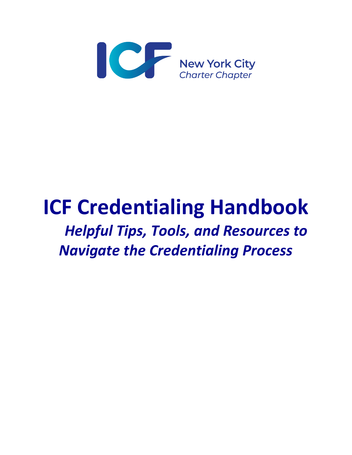

# **ICF Credentialing Handbook** *Helpful Tips, Tools, and Resources to Navigate the Credentialing Process*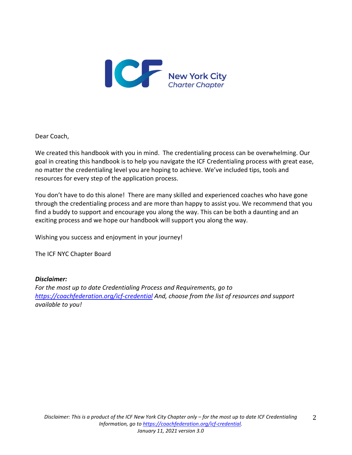

Dear Coach,

We created this handbook with you in mind. The credentialing process can be overwhelming. Our goal in creating this handbook is to help you navigate the ICF Credentialing process with great ease, no matter the credentialing level you are hoping to achieve. We've included tips, tools and resources for every step of the application process.

You don't have to do this alone! There are many skilled and experienced coaches who have gone through the credentialing process and are more than happy to assist you. We recommend that you find a buddy to support and encourage you along the way. This can be both a daunting and an exciting process and we hope our handbook will support you along the way.

Wishing you success and enjoyment in your journey!

The ICF NYC Chapter Board

#### *Disclaimer:*

*For the most up to date Credentialing Process and Requirements, go to <https://coachfederation.org/icf-credential> And, choose from the list of resources and support available to you!*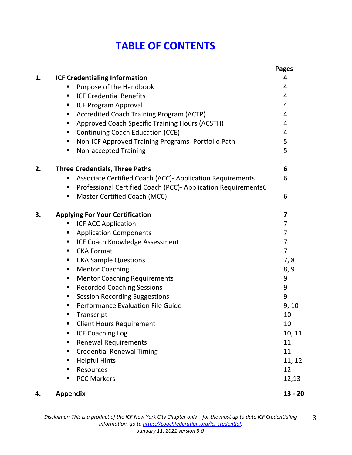# **TABLE OF CONTENTS**

|    |                                                                    | <b>Pages</b>   |
|----|--------------------------------------------------------------------|----------------|
| 1. | <b>ICF Credentialing Information</b>                               | 4              |
|    | Purpose of the Handbook                                            | 4              |
|    | <b>ICF Credential Benefits</b><br>п                                | 4              |
|    | <b>ICF Program Approval</b><br>٠                                   | 4              |
|    | Accredited Coach Training Program (ACTP)<br>٠                      | 4              |
|    | Approved Coach Specific Training Hours (ACSTH)<br>٠                | 4              |
|    | <b>Continuing Coach Education (CCE)</b><br>п                       | 4              |
|    | Non-ICF Approved Training Programs- Portfolio Path<br>٠            | 5              |
|    | Non-accepted Training<br>٠                                         | 5              |
| 2. | <b>Three Credentials, Three Paths</b>                              | 6              |
|    | Associate Certified Coach (ACC)- Application Requirements          | 6              |
|    | Professional Certified Coach (PCC)- Application Requirements6<br>п |                |
|    | Master Certified Coach (MCC)<br>٠                                  | 6              |
| 3. | <b>Applying For Your Certification</b>                             | 7              |
|    | ICF ACC Application<br>п                                           | 7              |
|    | <b>Application Components</b><br>٠                                 | $\overline{7}$ |
|    | ICF Coach Knowledge Assessment<br>٠                                | $\overline{7}$ |
|    | <b>CKA Format</b><br>٠                                             | $\overline{7}$ |
|    | <b>CKA Sample Questions</b><br>٠                                   | 7,8            |
|    | <b>Mentor Coaching</b><br>٠                                        | 8, 9           |
|    | <b>Mentor Coaching Requirements</b><br>٠                           | 9              |
|    | <b>Recorded Coaching Sessions</b><br>٠                             | 9              |
|    | <b>Session Recording Suggestions</b><br>٠                          | 9              |
|    | Performance Evaluation File Guide<br>٠                             | 9, 10          |
|    | Transcript<br>п                                                    | 10             |
|    | <b>Client Hours Requirement</b>                                    | 10             |
|    | <b>ICF Coaching Log</b><br>٠                                       | 10, 11         |
|    | <b>Renewal Requirements</b><br>٠                                   | 11             |
|    | <b>Credential Renewal Timing</b><br>٠                              | 11             |
|    | <b>Helpful Hints</b><br>٠                                          | 11, 12         |
|    | Resources<br>п                                                     | 12             |
|    | <b>PCC Markers</b><br>■                                            | 12,13          |
| 4. | <b>Appendix</b>                                                    | $13 - 20$      |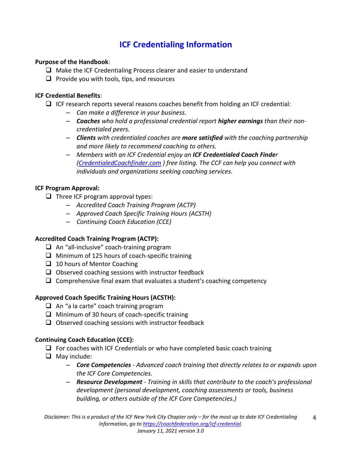# **ICF Credentialing Information**

#### **Purpose of the Handbook**:

- $\Box$  Make the ICF Credentialing Process clearer and easier to understand
- $\Box$  Provide you with tools, tips, and resources

#### **ICF Credential Benefits**:

- $\Box$  ICF research reports several reasons coaches benefit from holding an ICF credential:
	- *Can make a difference in your business.*
	- *Coaches who hold a professional credential report higher earnings than their noncredentialed peers.*
	- *Clients with credentialed coaches are more satisfied with the coaching partnership and more likely to recommend coaching to others.*
	- *Members with an ICF Credential enjoy an ICF Credentialed Coach Finder [\(CredentialedCoachfinder.com](https://coachfederation.org/need/landing.cfm?ItemNumber=980&navItemNumber=569) ) free listing. The CCF can help you connect with individuals and organizations seeking coaching services.*

#### **ICF Program Approval:**

- $\Box$  Three ICF program approval types:
	- *Accredited Coach Training Program (ACTP)*
	- *Approved Coach Specific Training Hours (ACSTH)*
	- *Continuing Coach Education (CCE)*

#### **Accredited Coach Training Program (ACTP):**

- $\Box$  An "all-inclusive" coach-training program
- $\Box$  Minimum of 125 hours of coach-specific training
- $\Box$  10 hours of Mentor Coaching
- $\Box$  Observed coaching sessions with instructor feedback
- $\Box$  Comprehensive final exam that evaluates a student's coaching competency

#### **Approved Coach Specific Training Hours (ACSTH):**

- $\Box$  An "a la carte" coach training program
- $\Box$  Minimum of 30 hours of coach-specific training
- $\Box$  Observed coaching sessions with instructor feedback

#### **Continuing Coach Education (CCE):**

- $\Box$  For coaches with ICF Credentials or who have completed basic coach training
- $\Box$  May include:
	- *Core Competencies - Advanced coach training that directly relates to or expands upon the ICF Core Competencies.*
	- *Resource Development - Training in skills that contribute to the coach's professional development (personal development, coaching assessments or tools, business building, or others outside of the ICF Core Competencies.)*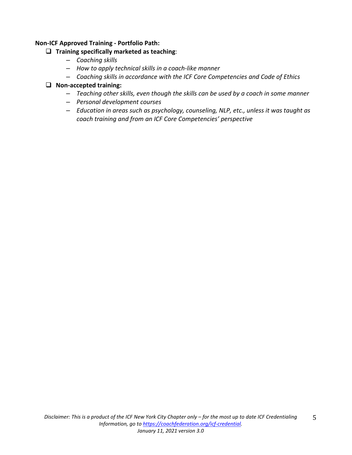#### **Non-ICF Approved Training - Portfolio Path:**

#### **Training specifically marketed as teaching**:

- *Coaching skills*
- *How to apply technical skills in a coach-like manner*
- *Coaching skills in accordance with the ICF Core Competencies and Code of Ethics*

#### **Non-accepted training:**

- *Teaching other skills, even though the skills can be used by a coach in some manner*
- *Personal development courses*
- *Education in areas such as psychology, counseling, NLP, etc., unless it was taught as coach training and from an ICF Core Competencies' perspective*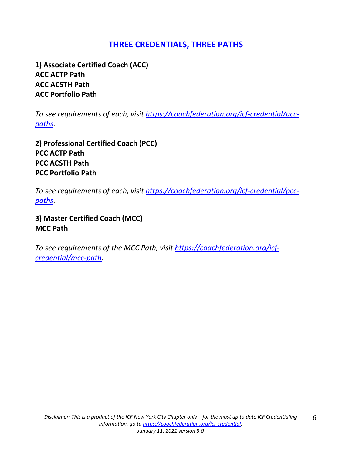### **THREE CREDENTIALS, THREE PATHS**

**1) Associate Certified Coach (ACC) ACC ACTP Path ACC ACSTH Path ACC Portfolio Path**

*To see requirements of each, visit [https://coachfederation.org/icf-credential/acc](https://coachfederation.org/icf-credential/acc-paths)[paths.](https://coachfederation.org/icf-credential/acc-paths)*

**2) Professional Certified Coach (PCC) PCC ACTP Path PCC ACSTH Path PCC Portfolio Path**

*To see requirements of each, visit [https://coachfederation.org/icf-credential/pcc](https://coachfederation.org/icf-credential/pcc-paths)[paths.](https://coachfederation.org/icf-credential/pcc-paths)* 

**3) Master Certified Coach (MCC) MCC Path**

*To see requirements of the MCC Path, visit [https://coachfederation.org/icf](https://coachfederation.org/icf-credential/mcc-path)[credential/mcc-path.](https://coachfederation.org/icf-credential/mcc-path)*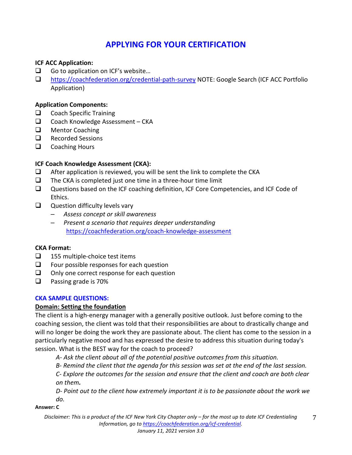# **APPLYING FOR YOUR CERTIFICATION**

#### **ICF ACC Application:**

- $\Box$  Go to application on ICF's website...
- <https://coachfederation.org/credential-path-survey> NOTE: Google Search (ICF ACC Portfolio Application)

#### **Application Components:**

- $\Box$  Coach Specific Training
- $\Box$  Coach Knowledge Assessment CKA
- **Q** Mentor Coaching
- **Q** Recorded Sessions
- $\Box$  Coaching Hours

#### **ICF Coach Knowledge Assessment (CKA):**

- $\Box$  After application is reviewed, you will be sent the link to complete the CKA
- $\Box$  The CKA is completed just one time in a three-hour time limit
- Questions based on the ICF coaching definition, ICF Core Competencies, and ICF Code of Ethics.
- $\Box$  Question difficulty levels vary
	- *Assess concept or skill awareness*
	- *Present a scenario that requires deeper understanding* <https://coachfederation.org/coach-knowledge-assessment>

#### **CKA Format:**

- $\Box$  155 multiple-choice test items
- $\Box$  Four possible responses for each question
- $\Box$  Only one correct response for each question
- $\Box$  Passing grade is 70%

#### **CKA SAMPLE QUESTIONS:**

#### **Domain: Setting the foundation**

The client is a high-energy manager with a generally positive outlook. Just before coming to the coaching session, the client was told that their responsibilities are about to drastically change and will no longer be doing the work they are passionate about. The client has come to the session in a particularly negative mood and has expressed the desire to address this situation during today's session. What is the BEST way for the coach to proceed?

*A- Ask the client about all of the potential positive outcomes from this situation.*

*B- Remind the client that the agenda for this session was set at the end of the last session.*

*C- Explore the outcomes for the session and ensure that the client and coach are both clear on them.*

*D- Point out to the client how extremely important it is to be passionate about the work we do.*

**Answer: C**

*Disclaimer: This is a product of the ICF New York City Chapter only – for the most up to date ICF Credentialing Information, go t[o https://coachfederation.org/icf-credential.](https://coachfederation.org/icf-credential)* 7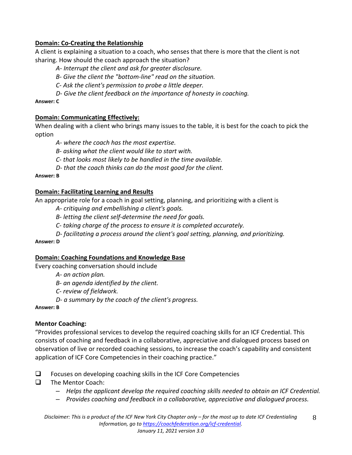#### **Domain: Co-Creating the Relationship**

A client is explaining a situation to a coach, who senses that there is more that the client is not sharing. How should the coach approach the situation?

*A- Interrupt the client and ask for greater disclosure.*

*B- Give the client the "bottom-line" read on the situation.*

*C- Ask the client's permission to probe a little deeper.*

*D- Give the client feedback on the importance of honesty in coaching.*

**Answer: C**

#### **Domain: Communicating Effectively:**

When dealing with a client who brings many issues to the table, it is best for the coach to pick the option

*A- where the coach has the most expertise.*

*B- asking what the client would like to start with.*

*C- that looks most likely to be handled in the time available.*

*D- that the coach thinks can do the most good for the client.*

**Answer: B**

#### **Domain: Facilitating Learning and Results**

An appropriate role for a coach in goal setting, planning, and prioritizing with a client is

*A- critiquing and embellishing a client's goals.*

*B- letting the client self-determine the need for goals.*

*C- taking charge of the process to ensure it is completed accurately.*

*D- facilitating a process around the client's goal setting, planning, and prioritizing.*

**Answer: D**

#### **Domain: Coaching Foundations and Knowledge Base**

Every coaching conversation should include

*A- an action plan.* 

*B- an agenda identified by the client.*

*C- review of fieldwork.*

*D- a summary by the coach of the client's progress.*

#### **Answer: B**

#### **Mentor Coaching:**

"Provides professional services to develop the required coaching skills for an ICF Credential. This consists of coaching and feedback in a collaborative, appreciative and dialogued process based on observation of live or recorded coaching sessions, to increase the coach's capability and consistent application of ICF Core Competencies in their coaching practice."

- $\Box$  Focuses on developing coaching skills in the ICF Core Competencies
- $\Box$  The Mentor Coach:
	- *Helps the applicant develop the required coaching skills needed to obtain an ICF Credential.*
	- *Provides coaching and feedback in a collaborative, appreciative and dialogued process.*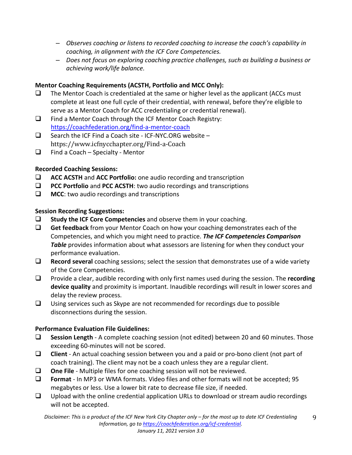- *Observes coaching or listens to recorded coaching to increase the coach's capability in coaching, in alignment with the ICF Core Competencies.*
- *Does not focus on exploring coaching practice challenges, such as building a business or achieving work/life balance.*

#### **Mentor Coaching Requirements (ACSTH, Portfolio and MCC Only):**

- $\Box$  The Mentor Coach is credentialed at the same or higher level as the applicant (ACCs must complete at least one full cycle of their credential, with renewal, before they're eligible to serve as a Mentor Coach for ACC credentialing or credential renewal).
- $\Box$  Find a Mentor Coach through the ICF Mentor Coach Registry: <https://coachfederation.org/find-a-mentor-coach>
- $\Box$  Search the ICF Find a Coach site ICF-NYC.ORG website https://www.icfnycchapter.org/Find-a-Coach
- $\Box$  Find a Coach Specialty Mentor

#### **Recorded Coaching Sessions:**

- **ACC ACSTH** and **ACC Portfolio:** one audio recording and transcription
- **PCC Portfolio** and **PCC ACSTH**: two audio recordings and transcriptions
- **MCC:** two audio recordings and transcriptions

#### **Session Recording Suggestions:**

- **Study the ICF Core Competencies** and observe them in your coaching.
- **Get feedback** from your Mentor Coach on how your coaching demonstrates each of the Competencies, and which you might need to practice. *The ICF Competencies Comparison*  **Table** provides information about what assessors are listening for when they conduct your performance evaluation.
- **Record several** coaching sessions; select the session that demonstrates use of a wide variety of the Core Competencies.
- Provide a clear, audible recording with only first names used during the session. The **recording device quality** and proximity is important. Inaudible recordings will result in lower scores and delay the review process.
- $\Box$  Using services such as Skype are not recommended for recordings due to possible disconnections during the session.

#### **Performance Evaluation File Guidelines:**

- **Session Length**  A complete coaching session (not edited) between 20 and 60 minutes. Those exceeding 60-minutes will not be scored.
- **Client** An actual coaching session between you and a paid or pro-bono client (not part of coach training). The client may not be a coach unless they are a regular client.
- **One File** Multiple files for one coaching session will not be reviewed.
- **Format** In MP3 or WMA formats. Video files and other formats will not be accepted; 95 megabytes or less. Use a lower bit rate to decrease file size, if needed.
- $\Box$  Upload with the online credential application URLs to download or stream audio recordings will not be accepted.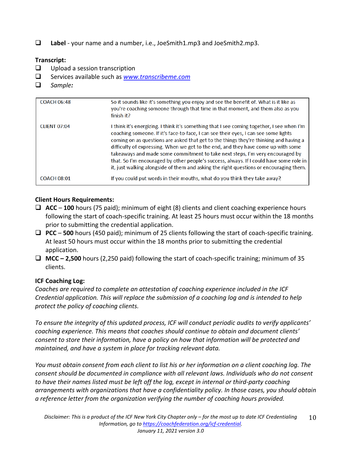**Label** - your name and a number, i.e., JoeSmith1.mp3 and JoeSmith2.mp3.

#### **Transcript:**

- $\Box$  Upload a session transcription
- Services available such as *[www.transcribeme.com](http://www.transcribeme.com/)*
- *Sample:*

| <b>COACH 06:48</b>  | So it sounds like it's something you enjoy and see the benefit of. What is it like as<br>you're coaching someone through that time in that moment, and them also as you<br>finish it?                                                                                                                                                                                                                                                                                                                                                                                                                                                 |
|---------------------|---------------------------------------------------------------------------------------------------------------------------------------------------------------------------------------------------------------------------------------------------------------------------------------------------------------------------------------------------------------------------------------------------------------------------------------------------------------------------------------------------------------------------------------------------------------------------------------------------------------------------------------|
| <b>CLIENT 07:04</b> | I think it's energizing. I think it's something that I see coming together, I see when I'm<br>coaching someone. If it's face-to-face, I can see their eyes, I can see some lights<br>coming on as questions are asked that get to the things they're thinking and having a<br>difficulty of expressing. When we get to the end, and they have come up with some<br>takeaways and made some commitment to take next steps, I'm very encouraged by<br>that. So I'm encouraged by other people's success, always. If I could have some role in<br>it, just walking alongside of them and asking the right questions or encouraging them. |
| <b>COACH 08:01</b>  | If you could put words in their mouths, what do you think they take away?                                                                                                                                                                                                                                                                                                                                                                                                                                                                                                                                                             |

#### **Client Hours Requirements:**

- **ACC 100** hours (75 paid); minimum of eight (8) clients and client coaching experience hours following the start of coach-specific training. At least 25 hours must occur within the 18 months prior to submitting the credential application.
- **PCC 500** hours (450 paid); minimum of 25 clients following the start of coach-specific training. At least 50 hours must occur within the 18 months prior to submitting the credential application.
- **MCC – 2,500** hours (2,250 paid) following the start of coach-specific training; minimum of 35 clients.

#### **ICF Coaching Log:**

*Coaches are required to complete an attestation of coaching experience included in the ICF Credential application. This will replace the submission of a coaching log and is intended to help protect the policy of coaching clients.* 

*To ensure the integrity of this updated process, ICF will conduct periodic audits to verify applicants' coaching experience. This means that coaches should continue to obtain and document clients' consent to store their information, have a policy on how that information will be protected and maintained, and have a system in place for tracking relevant data.* 

*You must obtain consent from each client to list his or her information on a client coaching log. The consent should be documented in compliance with all relevant laws. Individuals who do not consent to have their names listed must be left off the log, except in internal or third-party coaching arrangements with organizations that have a confidentiality policy. In those cases, you should obtain a reference letter from the organization verifying the number of coaching hours provided.*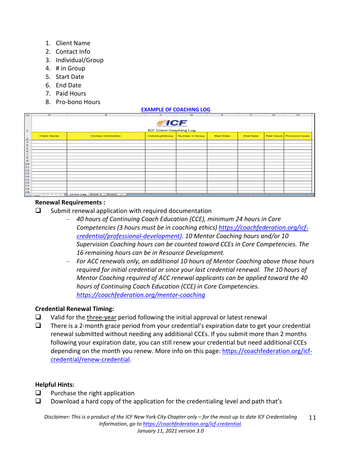- 1. Client Name
- 2. Contact Info
- 3. Individual/Group
- 4. # in Group
- 5. Start Date
- 6. End Date
- 7. Paid Hours
- 8. Pro-bono Hours

| $\sim$         | $\mathbf{A}$       | B                              | Ċ                                             | D               | Е                 | F               | G | н                         |  |
|----------------|--------------------|--------------------------------|-----------------------------------------------|-----------------|-------------------|-----------------|---|---------------------------|--|
|                |                    |                                | <b>ØICF</b><br>International Coach Federation |                 |                   |                 |   |                           |  |
| ı              |                    |                                | <b>ICF Client Coaching Log</b>                |                 |                   |                 |   |                           |  |
| $\overline{z}$ | <b>Client Name</b> | <b>Contact Information</b>     | Individual/Group                              | Number in Group | <b>Start Date</b> | <b>End Date</b> |   | Paid hours Pro-bono hours |  |
| 3              |                    |                                |                                               |                 |                   |                 |   |                           |  |
| 4              |                    |                                |                                               |                 |                   |                 |   |                           |  |
| 5              |                    |                                |                                               |                 |                   |                 |   |                           |  |
| 6              |                    |                                |                                               |                 |                   |                 |   |                           |  |
| $\overline{z}$ |                    |                                |                                               |                 |                   |                 |   |                           |  |
| 8              |                    |                                |                                               |                 |                   |                 |   |                           |  |
| 9              |                    |                                |                                               |                 |                   |                 |   |                           |  |
| LO             |                    |                                |                                               |                 |                   |                 |   |                           |  |
| L1.            |                    |                                |                                               |                 |                   |                 |   |                           |  |
|                |                    |                                |                                               |                 |                   |                 |   |                           |  |
| 12<br>13       |                    |                                |                                               |                 |                   |                 |   |                           |  |
| 14             |                    |                                |                                               |                 |                   |                 |   |                           |  |
| 15             |                    |                                |                                               |                 |                   |                 |   |                           |  |
| L6             |                    |                                |                                               |                 |                   |                 |   |                           |  |
| 17             |                    |                                |                                               |                 |                   |                 |   |                           |  |
| 18             |                    |                                |                                               |                 |                   |                 |   |                           |  |
| 19             |                    |                                |                                               |                 |                   |                 |   |                           |  |
|                | $-144$             | Client Log Sheet 2 Sheet 3 $+$ |                                               |                 |                   |                 |   |                           |  |

**[EXAMPLE OF COACHING LOG](https://coachfederation.org/experience-requirements)**

#### **Renewal Requirements :**

- $\Box$  Submit renewal application with required documentation
	- *40 hours of Continuing Coach Education (CCE), minimum 24 hours in Core Competencies (3 hours must be in coaching ethics) [https://coachfederation.org/icf](https://coachfederation.org/icf-credential/professional-development)[credential/professional-development\)](https://coachfederation.org/icf-credential/professional-development)*. *10 Mentor Coaching hours and/or 10 Supervision Coaching hours can be counted toward CCEs in Core Competencies. The 16 remaining hours can be in Resource Development.*
	- *For ACC renewals only, an additional 10 hours of Mentor Coaching above those hours required for initial credential or since your last credential renewal. The 10 hours of Mentor Coaching required of ACC renewal applicants can be applied toward the 40 hours of Continuing Coach Education (CCE) in Core Competencies. <https://coachfederation.org/mentor-coaching>*

#### **Credential Renewal Timing:**

- $\Box$  Valid for the three-year period following the initial approval or latest renewal
- $\Box$  There is a 2-month grace period from your credential's expiration date to get your credential renewal submitted without needing any additional CCEs. If you submit more than 2 months following your expiration date, you can still renew your credential but need additional CCEs depending on the month you renew. More info on this page: [https://coachfederation.org/icf](https://coachfederation.org/icf-credential/renew-credential)[credential/renew-credential.](https://coachfederation.org/icf-credential/renew-credential)

#### **Helpful Hints:**

- $\Box$  Purchase the right application
- $\square$  Download a hard copy of the application for the credentialing level and path that's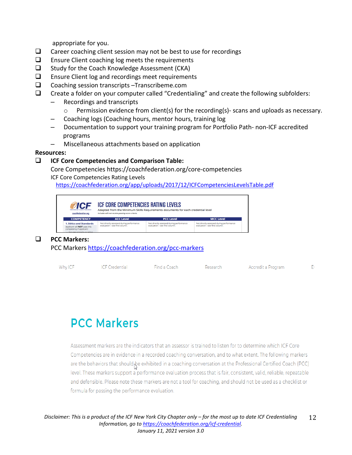appropriate for you.

- $\Box$  Career coaching client session may not be best to use for recordings
- $\Box$  Ensure Client coaching log meets the requirements
- $\Box$  Study for the Coach Knowledge Assessment (CKA)
- $\Box$  Ensure Client log and recordings meet requirements
- □ Coaching session transcripts –Transcribeme.com
- $\Box$  Create a folder on your computer called "Credentialing" and create the following subfolders:
	- Recordings and transcripts
		- o Permission evidence from client(s) for the recording(s)- scans and uploads as necessary.
	- Coaching logs (Coaching hours, mentor hours, training log
	- Documentation to support your training program for Portfolio Path- non-ICF accredited programs
	- Miscellaneous attachments based on application

#### **Resources:**

#### **ICF Core Competencies and Comparison Table:**

Core Competencies https://coachfederation.org/core-competencies ICF Core Competencies Rating Levels

<https://coachfederation.org/app/uploads/2017/12/ICFCompetenciesLevelsTable.pdf>



#### **PCC Markers:**

PCC Markers <https://coachfederation.org/pcc-markers>

| Why ICF | ICF Credential | Find a Coach | Research | Accredit a Program |  |
|---------|----------------|--------------|----------|--------------------|--|
|         |                |              |          |                    |  |

# **PCC Markers**

Assessment markers are the indicators that an assessor is trained to listen for to determine which ICF Core Competencies are in evidence in a recorded coaching conversation, and to what extent. The following markers are the behaviors that should be exhibited in a coaching conversation at the Professional Certified Coach (PCC) level. These markers support a performance evaluation process that is fair, consistent, valid, reliable, repeatable and defensible. Please note these markers are not a tool for coaching, and should not be used as a checklist or formula for passing the performance evaluation.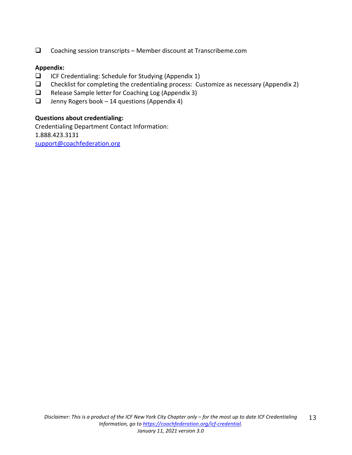$\Box$  Coaching session transcripts – Member discount at Transcribeme.com

#### **Appendix:**

- $\Box$  ICF Credentialing: Schedule for Studying (Appendix 1)
- $\Box$  Checklist for completing the credentialing process: Customize as necessary (Appendix 2)
- $\Box$  Release Sample letter for Coaching Log (Appendix 3)
- $\Box$  Jenny Rogers book 14 questions (Appendix 4)

#### **Questions about credentialing:**

Credentialing Department Contact Information: 1.888.423.3131 [support@coachfederation.org](mailto:support@coachfederation.org)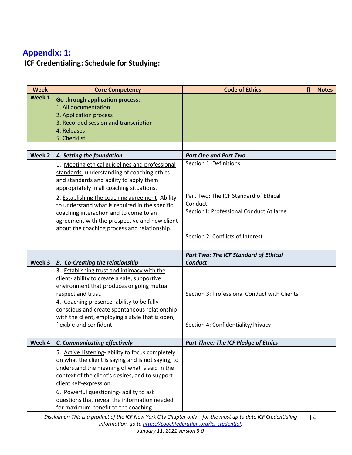# **Appendix: 1: ICF Credentialing: Schedule for Studying:**

| <b>Core Competency</b>                             | <b>Code of Ethics</b>                                                                                                                                                                                                                                 | П                                            | <b>Notes</b> |
|----------------------------------------------------|-------------------------------------------------------------------------------------------------------------------------------------------------------------------------------------------------------------------------------------------------------|----------------------------------------------|--------------|
| <b>Go through application process:</b>             |                                                                                                                                                                                                                                                       |                                              |              |
| 1. All documentation                               |                                                                                                                                                                                                                                                       |                                              |              |
| 2. Application process                             |                                                                                                                                                                                                                                                       |                                              |              |
| 3. Recorded session and transcription              |                                                                                                                                                                                                                                                       |                                              |              |
| 4. Releases                                        |                                                                                                                                                                                                                                                       |                                              |              |
|                                                    |                                                                                                                                                                                                                                                       |                                              |              |
|                                                    |                                                                                                                                                                                                                                                       |                                              |              |
| A. Setting the foundation                          | <b>Part One and Part Two</b>                                                                                                                                                                                                                          |                                              |              |
| 1. Meeting ethical guidelines and professional     | Section 1. Definitions                                                                                                                                                                                                                                |                                              |              |
| standards- understanding of coaching ethics        |                                                                                                                                                                                                                                                       |                                              |              |
| and standards and ability to apply them            |                                                                                                                                                                                                                                                       |                                              |              |
| appropriately in all coaching situations.          |                                                                                                                                                                                                                                                       |                                              |              |
|                                                    | Part Two: The ICF Standard of Ethical                                                                                                                                                                                                                 |                                              |              |
|                                                    | Conduct                                                                                                                                                                                                                                               |                                              |              |
|                                                    | Section1: Professional Conduct At large                                                                                                                                                                                                               |                                              |              |
| agreement with the prospective and new client      |                                                                                                                                                                                                                                                       |                                              |              |
|                                                    |                                                                                                                                                                                                                                                       |                                              |              |
|                                                    | Section 2: Conflicts of Interest                                                                                                                                                                                                                      |                                              |              |
|                                                    |                                                                                                                                                                                                                                                       |                                              |              |
|                                                    |                                                                                                                                                                                                                                                       |                                              |              |
| <b>B.</b> Co-Creating the relationship             | <b>Conduct</b>                                                                                                                                                                                                                                        |                                              |              |
| 3. Establishing trust and intimacy with the        |                                                                                                                                                                                                                                                       |                                              |              |
| client-ability to create a safe, supportive        |                                                                                                                                                                                                                                                       |                                              |              |
| environment that produces ongoing mutual           |                                                                                                                                                                                                                                                       |                                              |              |
| respect and trust.                                 | Section 3: Professional Conduct with Clients                                                                                                                                                                                                          |                                              |              |
| 4. Coaching presence- ability to be fully          |                                                                                                                                                                                                                                                       |                                              |              |
| conscious and create spontaneous relationship      |                                                                                                                                                                                                                                                       |                                              |              |
| with the client, employing a style that is open,   |                                                                                                                                                                                                                                                       |                                              |              |
| flexible and confident.                            | Section 4: Confidentiality/Privacy                                                                                                                                                                                                                    |                                              |              |
|                                                    |                                                                                                                                                                                                                                                       |                                              |              |
| <b>C. Communicating effectively</b><br>Week 4 $ $  | <b>Part Three: The ICF Pledge of Ethics</b>                                                                                                                                                                                                           |                                              |              |
| 5. Active Listening- ability to focus completely   |                                                                                                                                                                                                                                                       |                                              |              |
| on what the client is saying and is not saying, to |                                                                                                                                                                                                                                                       |                                              |              |
| understand the meaning of what is said in the      |                                                                                                                                                                                                                                                       |                                              |              |
| context of the client's desires, and to support    |                                                                                                                                                                                                                                                       |                                              |              |
| client self-expression.                            |                                                                                                                                                                                                                                                       |                                              |              |
|                                                    |                                                                                                                                                                                                                                                       |                                              |              |
|                                                    |                                                                                                                                                                                                                                                       |                                              |              |
| questions that reveal the information needed       |                                                                                                                                                                                                                                                       |                                              |              |
|                                                    | 5. Checklist<br>2. Establishing the coaching agreement-Ability<br>to understand what is required in the specific<br>coaching interaction and to come to an<br>about the coaching process and relationship.<br>6. Powerful questioning- ability to ask | <b>Part Two: The ICF Standard of Ethical</b> |              |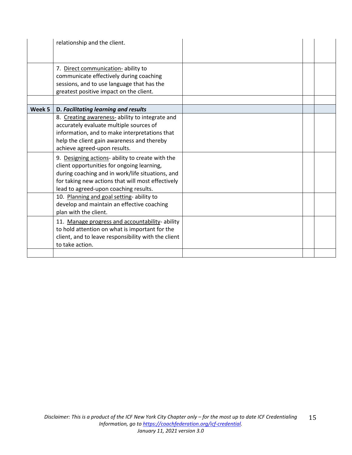|        | relationship and the client.                                                                                                                                                                                                                     |  |  |
|--------|--------------------------------------------------------------------------------------------------------------------------------------------------------------------------------------------------------------------------------------------------|--|--|
|        |                                                                                                                                                                                                                                                  |  |  |
|        | 7. Direct communication-ability to<br>communicate effectively during coaching<br>sessions, and to use language that has the<br>greatest positive impact on the client.                                                                           |  |  |
| Week 5 | D. Facilitating learning and results                                                                                                                                                                                                             |  |  |
|        | 8. Creating awareness- ability to integrate and<br>accurately evaluate multiple sources of<br>information, and to make interpretations that<br>help the client gain awareness and thereby<br>achieve agreed-upon results.                        |  |  |
|        | 9. Designing actions- ability to create with the<br>client opportunities for ongoing learning,<br>during coaching and in work/life situations, and<br>for taking new actions that will most effectively<br>lead to agreed-upon coaching results. |  |  |
|        | 10. Planning and goal setting- ability to<br>develop and maintain an effective coaching<br>plan with the client.                                                                                                                                 |  |  |
|        | 11. Manage progress and accountability- ability<br>to hold attention on what is important for the<br>client, and to leave responsibility with the client<br>to take action.                                                                      |  |  |
|        |                                                                                                                                                                                                                                                  |  |  |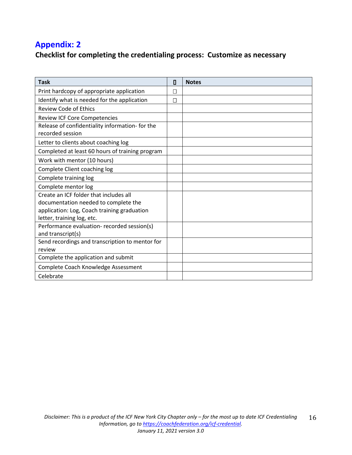# **Appendix: 2**

# **Checklist for completing the credentialing process: Customize as necessary**

| <b>Task</b>                                     | О | <b>Notes</b> |
|-------------------------------------------------|---|--------------|
| Print hardcopy of appropriate application       |   |              |
| Identify what is needed for the application     | П |              |
| <b>Review Code of Ethics</b>                    |   |              |
| <b>Review ICF Core Competencies</b>             |   |              |
| Release of confidentiality information- for the |   |              |
| recorded session                                |   |              |
| Letter to clients about coaching log            |   |              |
| Completed at least 60 hours of training program |   |              |
| Work with mentor (10 hours)                     |   |              |
| Complete Client coaching log                    |   |              |
| Complete training log                           |   |              |
| Complete mentor log                             |   |              |
| Create an ICF folder that includes all          |   |              |
| documentation needed to complete the            |   |              |
| application: Log, Coach training graduation     |   |              |
| letter, training log, etc.                      |   |              |
| Performance evaluation- recorded session(s)     |   |              |
| and transcript(s)                               |   |              |
| Send recordings and transcription to mentor for |   |              |
| review                                          |   |              |
| Complete the application and submit             |   |              |
| Complete Coach Knowledge Assessment             |   |              |
| Celebrate                                       |   |              |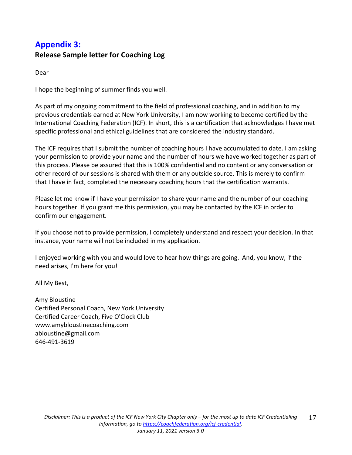# **Appendix 3: Release Sample letter for Coaching Log**

Dear

I hope the beginning of summer finds you well.

As part of my ongoing commitment to the field of professional coaching, and in addition to my previous credentials earned at New York University, I am now working to become certified by the International Coaching Federation (ICF). In short, this is a certification that acknowledges I have met specific professional and ethical guidelines that are considered the industry standard.

The ICF requires that I submit the number of coaching hours I have accumulated to date. I am asking your permission to provide your name and the number of hours we have worked together as part of this process. Please be assured that this is 100% confidential and no content or any conversation or other record of our sessions is shared with them or any outside source. This is merely to confirm that I have in fact, completed the necessary coaching hours that the certification warrants.

Please let me know if I have your permission to share your name and the number of our coaching hours together. If you grant me this permission, you may be contacted by the ICF in order to confirm our engagement.

If you choose not to provide permission, I completely understand and respect your decision. In that instance, your name will not be included in my application.

I enjoyed working with you and would love to hear how things are going. And, you know, if the need arises, I'm here for you!

All My Best,

Amy Bloustine Certified Personal Coach, New York University Certified Career Coach, Five O'Clock Club www.amybloustinecoaching.com abloustine@gmail.com 646-491-3619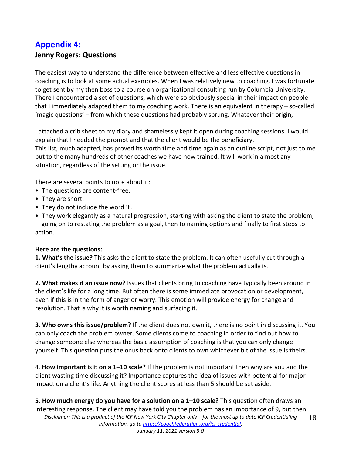# **Appendix 4: Jenny Rogers: Questions**

The easiest way to understand the difference between effective and less effective questions in coaching is to look at some actual examples. When I was relatively new to coaching, I was fortunate to get sent by my then boss to a course on organizational consulting run by Columbia University. There I encountered a set of questions, which were so obviously special in their impact on people that I immediately adapted them to my coaching work. There is an equivalent in therapy – so-called 'magic questions' – from which these questions had probably sprung. Whatever their origin,

I attached a crib sheet to my diary and shamelessly kept it open during coaching sessions. I would explain that I needed the prompt and that the client would be the beneficiary. This list, much adapted, has proved its worth time and time again as an outline script, not just to me but to the many hundreds of other coaches we have now trained. It will work in almost any situation, regardless of the setting or the issue.

There are several points to note about it:

- The questions are content-free.
- They are short.
- They do not include the word 'I'.
- They work elegantly as a natural progression, starting with asking the client to state the problem, going on to restating the problem as a goal, then to naming options and finally to first steps to action.

#### **Here are the questions:**

**1. What's the issue?** This asks the client to state the problem. It can often usefully cut through a client's lengthy account by asking them to summarize what the problem actually is.

**2. What makes it an issue now?** Issues that clients bring to coaching have typically been around in the client's life for a long time. But often there is some immediate provocation or development, even if this is in the form of anger or worry. This emotion will provide energy for change and resolution. That is why it is worth naming and surfacing it.

**3. Who owns this issue/problem?** If the client does not own it, there is no point in discussing it. You can only coach the problem owner. Some clients come to coaching in order to find out how to change someone else whereas the basic assumption of coaching is that you can only change yourself. This question puts the onus back onto clients to own whichever bit of the issue is theirs.

4. **How important is it on a 1–10 scale?** If the problem is not important then why are you and the client wasting time discussing it? Importance captures the idea of issues with potential for major impact on a client's life. Anything the client scores at less than 5 should be set aside.

*Disclaimer: This is a product of the ICF New York City Chapter only – for the most up to date ICF Credentialing Information, go t[o https://coachfederation.org/icf-credential.](https://coachfederation.org/icf-credential) January 11, 2021 version 3.0* 18 **5. How much energy do you have for a solution on a 1–10 scale?** This question often draws an interesting response. The client may have told you the problem has an importance of 9, but then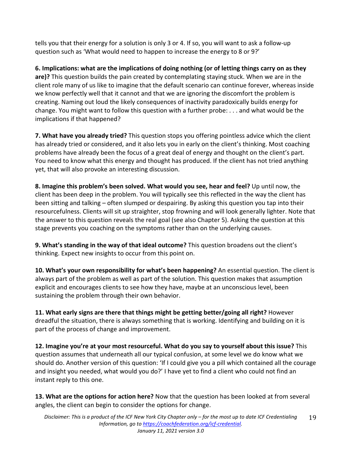tells you that their energy for a solution is only 3 or 4. If so, you will want to ask a follow-up question such as 'What would need to happen to increase the energy to 8 or 9?'

**6. Implications: what are the implications of doing nothing (or of letting things carry on as they are)?** This question builds the pain created by contemplating staying stuck. When we are in the client role many of us like to imagine that the default scenario can continue forever, whereas inside we know perfectly well that it cannot and that we are ignoring the discomfort the problem is creating. Naming out loud the likely consequences of inactivity paradoxically builds energy for change. You might want to follow this question with a further probe: . . . and what would be the implications if that happened?

**7. What have you already tried?** This question stops you offering pointless advice which the client has already tried or considered, and it also lets you in early on the client's thinking. Most coaching problems have already been the focus of a great deal of energy and thought on the client's part. You need to know what this energy and thought has produced. If the client has not tried anything yet, that will also provoke an interesting discussion.

**8. Imagine this problem's been solved. What would you see, hear and feel?** Up until now, the client has been deep in the problem. You will typically see this reflected in the way the client has been sitting and talking – often slumped or despairing. By asking this question you tap into their resourcefulness. Clients will sit up straighter, stop frowning and will look generally lighter. Note that the answer to this question reveals the real goal (see also Chapter 5). Asking the question at this stage prevents you coaching on the symptoms rather than on the underlying causes.

**9. What's standing in the way of that ideal outcome?** This question broadens out the client's thinking. Expect new insights to occur from this point on.

**10. What's your own responsibility for what's been happening?** An essential question. The client is always part of the problem as well as part of the solution. This question makes that assumption explicit and encourages clients to see how they have, maybe at an unconscious level, been sustaining the problem through their own behavior.

**11. What early signs are there that things might be getting better/going all right?** However dreadful the situation, there is always something that is working. Identifying and building on it is part of the process of change and improvement.

**12. Imagine you're at your most resourceful. What do you say to yourself about this issue?** This question assumes that underneath all our typical confusion, at some level we do know what we should do. Another version of this question: 'If I could give you a pill which contained all the courage and insight you needed, what would you do?' I have yet to find a client who could not find an instant reply to this one.

**13. What are the options for action here?** Now that the question has been looked at from several angles, the client can begin to consider the options for change.